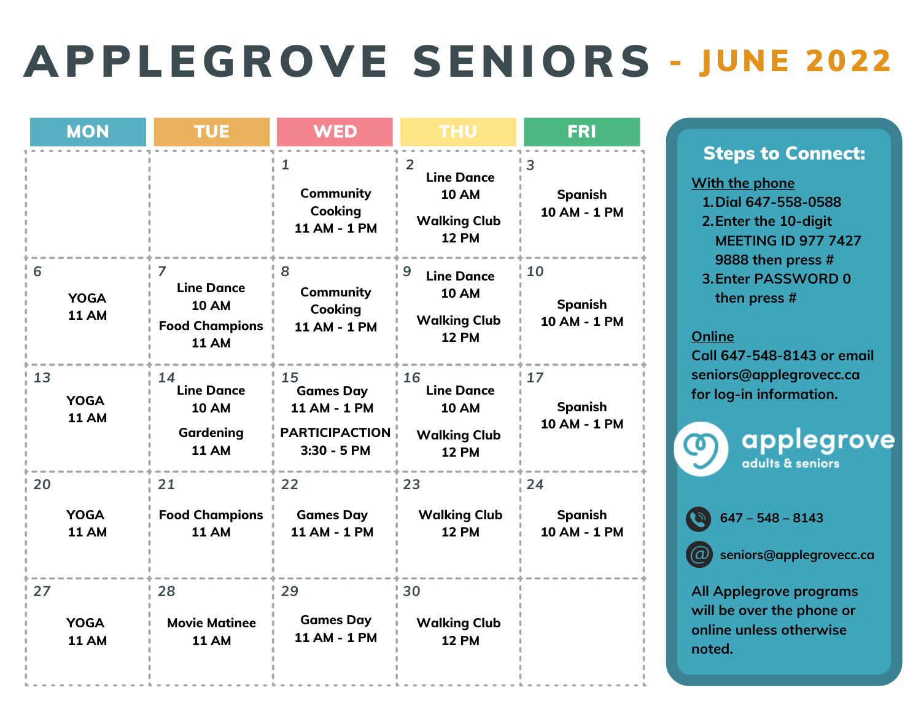## APPLEGROVE SENIORS - JUNE 2022

|    | <b>MON</b>                  | <b>TUE</b>                                                                      | <b>WED</b>                                                                       | <b>THU</b>                                                                                 | <b>FRI</b>                           |
|----|-----------------------------|---------------------------------------------------------------------------------|----------------------------------------------------------------------------------|--------------------------------------------------------------------------------------------|--------------------------------------|
|    |                             |                                                                                 | 1<br><b>Community</b><br><b>Cooking</b><br>11 AM - 1 PM                          | $\overline{2}$<br><b>Line Dance</b><br><b>10 AM</b><br><b>Walking Club</b><br><b>12 PM</b> | 3<br><b>Spanish</b><br>10 AM - 1 PM  |
| 6  | <b>YOGA</b><br><b>11 AM</b> | 7<br><b>Line Dance</b><br><b>10 AM</b><br><b>Food Champions</b><br><b>11 AM</b> | 8<br><b>Community</b><br><b>Cooking</b><br>11 AM - 1 PM                          | 9<br><b>Line Dance</b><br><b>10 AM</b><br><b>Walking Club</b><br><b>12 PM</b>              | 10<br><b>Spanish</b><br>10 AM - 1 PM |
| 13 | <b>YOGA</b><br><b>11 AM</b> | 14<br><b>Line Dance</b><br><b>10 AM</b><br>Gardening<br><b>11 AM</b>            | 15<br><b>Games Day</b><br>11 AM - 1 PM<br><b>PARTICIPACTION</b><br>$3:30 - 5$ PM | 16<br><b>Line Dance</b><br><b>10 AM</b><br><b>Walking Club</b><br><b>12 PM</b>             | 17<br><b>Spanish</b><br>10 AM - 1 PM |
| 20 | <b>YOGA</b><br><b>11 AM</b> | 21<br><b>Food Champions</b><br><b>11 AM</b>                                     | 22<br><b>Games Day</b><br><b>11 AM - 1 PM</b>                                    | 23<br><b>Walking Club</b><br><b>12 PM</b>                                                  | 24<br><b>Spanish</b><br>10 AM - 1 PM |
| 27 | <b>YOGA</b><br><b>11 AM</b> | 28<br><b>Movie Matinee</b><br><b>11 AM</b>                                      | 29<br><b>Games Day</b><br>11 AM - 1 PM                                           | 30<br><b>Walking Club</b><br><b>12 PM</b>                                                  |                                      |

## Steps to Connect:

**Dial 647-558-0588 1. Enter the 10-digit 2. MEETING ID 977 7427 9888 then press # Enter PASSWORD 0 3. then press # With the phone**

## **Online**

**Call 647-548-8143 or email [seniors@applegrovecc.ca](mailto:seniors@applegrovecc.ca) for log-in information.**



applegrove adults & seniors

**647 – 548 – 8143**

**s[eniors@applegrovecc.ca](mailto:Seniors@applegrovecc.ca)**

**All Applegrove programs will be over the phone or online unless otherwise noted.**